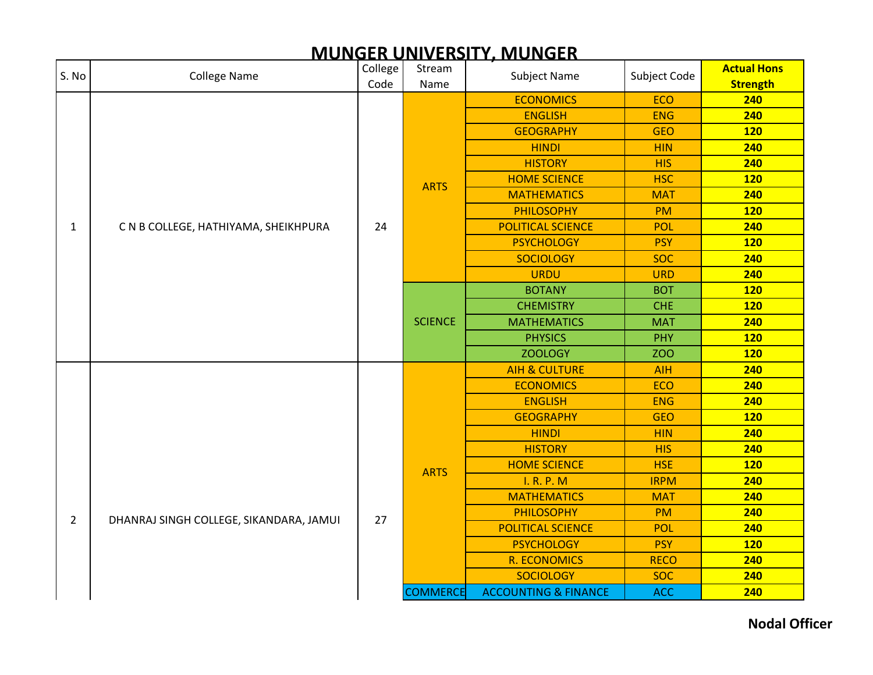| S. No          | <b>College Name</b>                     | College                      | Stream          | Subject Name                    | Subject Code | <b>Actual Hons</b> |
|----------------|-----------------------------------------|------------------------------|-----------------|---------------------------------|--------------|--------------------|
|                |                                         | Code                         | Name            |                                 |              | <b>Strength</b>    |
|                |                                         |                              |                 | <b>ECONOMICS</b>                | <b>ECO</b>   | 240                |
|                |                                         |                              |                 | <b>ENGLISH</b>                  | <b>ENG</b>   | 240                |
|                |                                         |                              |                 | <b>GEOGRAPHY</b>                | <b>GEO</b>   | <b>120</b>         |
|                |                                         |                              |                 | <b>HINDI</b>                    | <b>HIN</b>   | 240                |
|                |                                         |                              | <b>ARTS</b>     | <b>HISTORY</b>                  | <b>HIS</b>   | 240                |
|                |                                         |                              |                 | <b>HOME SCIENCE</b>             | <b>HSC</b>   | <b>120</b>         |
|                |                                         |                              |                 | <b>MATHEMATICS</b>              | <b>MAT</b>   | 240                |
|                |                                         |                              |                 | <b>PHILOSOPHY</b>               | <b>PM</b>    | <b>120</b>         |
| $\mathbf{1}$   | C N B COLLEGE, HATHIYAMA, SHEIKHPURA    | 24                           |                 | <b>POLITICAL SCIENCE</b>        | POL          | 240                |
|                |                                         |                              |                 | <b>PSYCHOLOGY</b>               | <b>PSY</b>   | <b>120</b>         |
|                |                                         |                              |                 | <b>SOCIOLOGY</b>                | <b>SOC</b>   | 240                |
|                |                                         | <b>URDU</b><br><b>BOTANY</b> |                 |                                 | <b>URD</b>   | 240                |
|                |                                         |                              |                 | <b>BOT</b>                      | <b>120</b>   |                    |
|                |                                         |                              | <b>SCIENCE</b>  | <b>CHEMISTRY</b>                | <b>CHE</b>   | <b>120</b>         |
|                |                                         |                              |                 | <b>MATHEMATICS</b>              | <b>MAT</b>   | 240                |
|                |                                         |                              |                 | <b>PHYSICS</b>                  | PHY          | <b>120</b>         |
|                |                                         |                              |                 | <b>ZOOLOGY</b>                  | <b>ZOO</b>   | <b>120</b>         |
|                |                                         |                              |                 | <b>AIH &amp; CULTURE</b>        | <b>AIH</b>   | 240                |
|                |                                         |                              |                 | <b>ECONOMICS</b>                | <b>ECO</b>   | 240                |
|                |                                         |                              |                 | <b>ENGLISH</b>                  | <b>ENG</b>   | 240                |
|                |                                         |                              |                 | <b>GEOGRAPHY</b>                | <b>GEO</b>   | <b>120</b>         |
|                |                                         |                              |                 | <b>HINDI</b>                    | <b>HIN</b>   | 240                |
|                |                                         |                              |                 | <b>HISTORY</b>                  | <b>HIS</b>   | 240                |
|                |                                         |                              |                 | <b>HOME SCIENCE</b>             | <b>HSE</b>   | <b>120</b>         |
|                |                                         |                              | <b>ARTS</b>     | I. R. P. M                      | <b>IRPM</b>  | 240                |
|                |                                         |                              |                 | <b>MATHEMATICS</b>              | <b>MAT</b>   | 240                |
|                |                                         |                              |                 | <b>PHILOSOPHY</b>               | <b>PM</b>    | 240                |
| $\overline{2}$ | DHANRAJ SINGH COLLEGE, SIKANDARA, JAMUI | 27                           |                 | <b>POLITICAL SCIENCE</b>        | POL          | 240                |
|                |                                         |                              |                 | <b>PSYCHOLOGY</b>               | <b>PSY</b>   | <b>120</b>         |
|                |                                         |                              |                 | <b>R. ECONOMICS</b>             | <b>RECO</b>  | 240                |
|                |                                         |                              |                 | <b>SOCIOLOGY</b>                | <b>SOC</b>   | 240                |
|                |                                         |                              | <b>COMMERCE</b> | <b>ACCOUNTING &amp; FINANCE</b> | <b>ACC</b>   | 240                |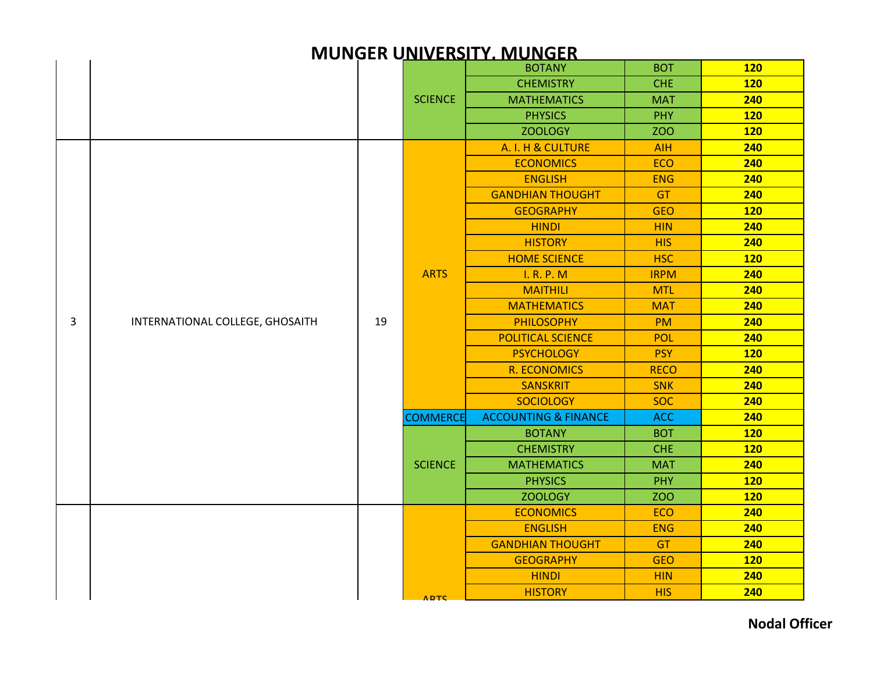|   |                                 |                                                                                                                                                                                                                                                                                                                                                                                                                                                                                            |                | <b>BOTANY</b>           | <b>BOT</b>      | <b>120</b> |
|---|---------------------------------|--------------------------------------------------------------------------------------------------------------------------------------------------------------------------------------------------------------------------------------------------------------------------------------------------------------------------------------------------------------------------------------------------------------------------------------------------------------------------------------------|----------------|-------------------------|-----------------|------------|
|   |                                 |                                                                                                                                                                                                                                                                                                                                                                                                                                                                                            | <b>SCIENCE</b> | <b>CHEMISTRY</b>        | <b>CHE</b>      | <b>120</b> |
|   |                                 |                                                                                                                                                                                                                                                                                                                                                                                                                                                                                            |                | <b>MATHEMATICS</b>      | <b>MAT</b>      | 240        |
|   |                                 |                                                                                                                                                                                                                                                                                                                                                                                                                                                                                            |                | <b>PHYSICS</b>          | <b>PHY</b>      | <b>120</b> |
|   |                                 |                                                                                                                                                                                                                                                                                                                                                                                                                                                                                            |                | <b>ZOOLOGY</b>          | <b>ZOO</b>      | <b>120</b> |
|   |                                 |                                                                                                                                                                                                                                                                                                                                                                                                                                                                                            |                | A. I. H & CULTURE       | <b>AIH</b>      | 240        |
|   |                                 |                                                                                                                                                                                                                                                                                                                                                                                                                                                                                            |                | <b>ECONOMICS</b>        | <b>ECO</b>      | 240        |
|   |                                 |                                                                                                                                                                                                                                                                                                                                                                                                                                                                                            |                | <b>ENGLISH</b>          | <b>ENG</b>      | 240        |
|   |                                 |                                                                                                                                                                                                                                                                                                                                                                                                                                                                                            |                | <b>GANDHIAN THOUGHT</b> | <b>GT</b>       | 240        |
|   |                                 |                                                                                                                                                                                                                                                                                                                                                                                                                                                                                            |                | <b>GEOGRAPHY</b>        | <b>GEO</b>      | <b>120</b> |
|   |                                 |                                                                                                                                                                                                                                                                                                                                                                                                                                                                                            |                | <b>HINDI</b>            | <b>HIN</b>      | 240        |
|   |                                 |                                                                                                                                                                                                                                                                                                                                                                                                                                                                                            |                | <b>HISTORY</b>          | <b>HIS</b>      | 240        |
|   |                                 |                                                                                                                                                                                                                                                                                                                                                                                                                                                                                            |                | <b>HOME SCIENCE</b>     | <b>HSC</b>      | <b>120</b> |
|   |                                 |                                                                                                                                                                                                                                                                                                                                                                                                                                                                                            | <b>ARTS</b>    | <b>I. R. P. M</b>       | <b>IRPM</b>     | 240        |
|   |                                 | <b>MAITHILI</b><br><b>MTL</b><br><b>MATHEMATICS</b><br><b>MAT</b><br>19<br><b>PHILOSOPHY</b><br><b>PM</b><br><b>POLITICAL SCIENCE</b><br><b>POL</b><br><b>PSYCHOLOGY</b><br><b>PSY</b><br><b>R. ECONOMICS</b><br><b>RECO</b><br><b>SANSKRIT</b><br><b>SNK</b><br><b>SOCIOLOGY</b><br><b>SOC</b><br><b>COMMERCE</b><br><b>ACCOUNTING &amp; FINANCE</b><br><b>ACC</b><br><b>BOTANY</b><br><b>BOT</b><br><b>CHEMISTRY</b><br><b>CHE</b><br><b>SCIENCE</b><br><b>MATHEMATICS</b><br><b>MAT</b> | 240            |                         |                 |            |
|   | INTERNATIONAL COLLEGE, GHOSAITH |                                                                                                                                                                                                                                                                                                                                                                                                                                                                                            |                |                         |                 | 240        |
| 3 |                                 |                                                                                                                                                                                                                                                                                                                                                                                                                                                                                            |                |                         |                 | 240        |
|   |                                 |                                                                                                                                                                                                                                                                                                                                                                                                                                                                                            |                |                         |                 | 240        |
|   |                                 |                                                                                                                                                                                                                                                                                                                                                                                                                                                                                            |                |                         |                 | <b>120</b> |
|   |                                 |                                                                                                                                                                                                                                                                                                                                                                                                                                                                                            |                |                         |                 | 240        |
|   |                                 |                                                                                                                                                                                                                                                                                                                                                                                                                                                                                            |                |                         |                 | 240        |
|   |                                 |                                                                                                                                                                                                                                                                                                                                                                                                                                                                                            |                |                         |                 | 240        |
|   |                                 |                                                                                                                                                                                                                                                                                                                                                                                                                                                                                            |                |                         |                 | 240        |
|   |                                 |                                                                                                                                                                                                                                                                                                                                                                                                                                                                                            |                |                         |                 | <b>120</b> |
|   |                                 |                                                                                                                                                                                                                                                                                                                                                                                                                                                                                            |                |                         |                 | <b>120</b> |
|   |                                 |                                                                                                                                                                                                                                                                                                                                                                                                                                                                                            |                |                         |                 | 240        |
|   |                                 |                                                                                                                                                                                                                                                                                                                                                                                                                                                                                            |                | <b>PHYSICS</b>          | <b>PHY</b>      | <b>120</b> |
|   |                                 |                                                                                                                                                                                                                                                                                                                                                                                                                                                                                            |                | <b>ZOOLOGY</b>          | ZO <sub>O</sub> | <b>120</b> |
|   |                                 |                                                                                                                                                                                                                                                                                                                                                                                                                                                                                            |                | <b>ECONOMICS</b>        | <b>ECO</b>      | 240        |
|   |                                 |                                                                                                                                                                                                                                                                                                                                                                                                                                                                                            |                | <b>ENGLISH</b>          | <b>ENG</b>      | 240        |
|   |                                 |                                                                                                                                                                                                                                                                                                                                                                                                                                                                                            |                | <b>GANDHIAN THOUGHT</b> | <b>GT</b>       | 240        |
|   |                                 |                                                                                                                                                                                                                                                                                                                                                                                                                                                                                            |                | <b>GEOGRAPHY</b>        | <b>GEO</b>      | <b>120</b> |
|   |                                 |                                                                                                                                                                                                                                                                                                                                                                                                                                                                                            |                | <b>HINDI</b>            | <b>HIN</b>      | 240        |
|   |                                 |                                                                                                                                                                                                                                                                                                                                                                                                                                                                                            | <b>ARTS</b>    | <b>HISTORY</b>          | <b>HIS</b>      | 240        |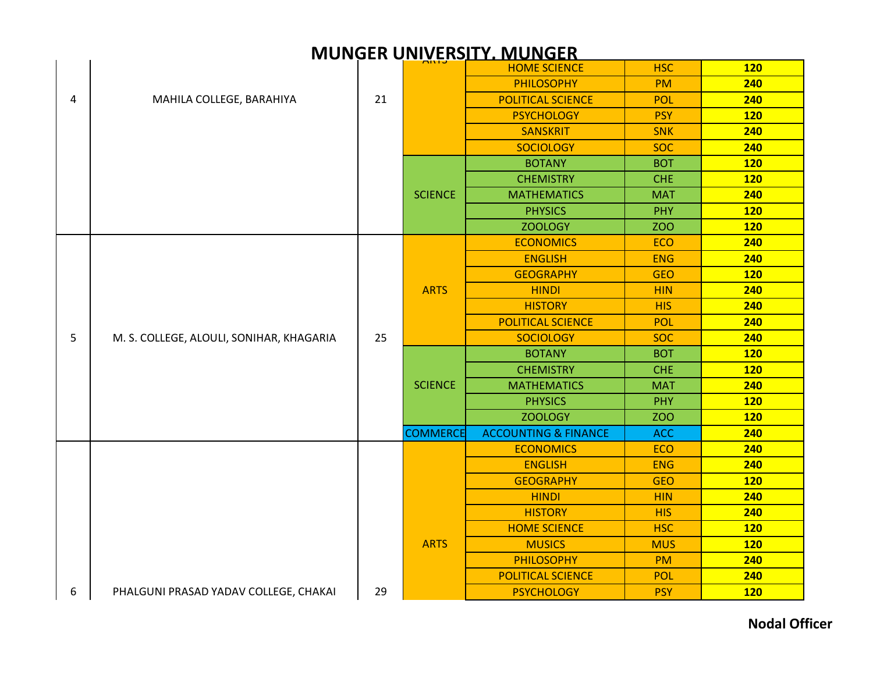|   |                                          |    | <u>'AMD</u>     | <b>HOME SCIENCE</b>             | <b>HSC</b> | <b>120</b> |
|---|------------------------------------------|----|-----------------|---------------------------------|------------|------------|
|   |                                          |    |                 | <b>PHILOSOPHY</b>               | <b>PM</b>  | 240        |
| 4 | MAHILA COLLEGE, BARAHIYA                 | 21 |                 | <b>POLITICAL SCIENCE</b>        | <b>POL</b> | 240        |
|   |                                          |    |                 | <b>PSYCHOLOGY</b>               | <b>PSY</b> | <b>120</b> |
|   |                                          |    |                 | <b>SANSKRIT</b>                 | <b>SNK</b> | 240        |
|   |                                          |    |                 | <b>SOCIOLOGY</b>                | <b>SOC</b> | 240        |
|   |                                          |    |                 | <b>BOTANY</b>                   | <b>BOT</b> | <b>120</b> |
|   |                                          |    |                 | <b>CHEMISTRY</b>                | <b>CHE</b> | <b>120</b> |
|   |                                          |    | <b>SCIENCE</b>  | <b>MATHEMATICS</b>              | <b>MAT</b> | 240        |
|   |                                          |    |                 | <b>PHYSICS</b>                  | <b>PHY</b> | <b>120</b> |
|   |                                          |    |                 | <b>ZOOLOGY</b>                  | <b>ZOO</b> | <b>120</b> |
|   |                                          |    |                 | <b>ECONOMICS</b>                | <b>ECO</b> | 240        |
|   |                                          |    |                 | <b>ENGLISH</b>                  | <b>ENG</b> | 240        |
|   |                                          |    |                 | <b>GEOGRAPHY</b>                | <b>GEO</b> | <b>120</b> |
|   |                                          |    | <b>ARTS</b>     | <b>HINDI</b>                    | <b>HIN</b> | 240        |
|   |                                          |    |                 | <b>HISTORY</b>                  | <b>HIS</b> | 240        |
|   |                                          |    |                 | <b>POLITICAL SCIENCE</b>        | <b>POL</b> | 240        |
| 5 | M. S. COLLEGE, ALOULI, SONIHAR, KHAGARIA | 25 |                 | <b>SOCIOLOGY</b>                | <b>SOC</b> | 240        |
|   |                                          |    |                 | <b>BOTANY</b>                   | <b>BOT</b> | <b>120</b> |
|   |                                          |    |                 | <b>CHEMISTRY</b>                | <b>CHE</b> | <b>120</b> |
|   |                                          |    | <b>SCIENCE</b>  | <b>MATHEMATICS</b>              | <b>MAT</b> | 240        |
|   |                                          |    |                 | <b>PHYSICS</b>                  | <b>PHY</b> | <b>120</b> |
|   |                                          |    |                 | <b>ZOOLOGY</b>                  | <b>ZOO</b> | <b>120</b> |
|   |                                          |    | <b>COMMERCE</b> | <b>ACCOUNTING &amp; FINANCE</b> | <b>ACC</b> | 240        |
|   |                                          |    |                 | <b>ECONOMICS</b>                | <b>ECO</b> | 240        |
|   |                                          |    |                 | <b>ENGLISH</b>                  | <b>ENG</b> | 240        |
|   |                                          |    |                 | <b>GEOGRAPHY</b>                | <b>GEO</b> | <b>120</b> |
|   |                                          |    |                 | <b>HINDI</b>                    | <b>HIN</b> | 240        |
|   |                                          |    |                 | <b>HISTORY</b>                  | <b>HIS</b> | 240        |
|   |                                          |    |                 | <b>HOME SCIENCE</b>             | <b>HSC</b> | <b>120</b> |
|   |                                          |    | <b>ARTS</b>     | <b>MUSICS</b>                   | <b>MUS</b> | <b>120</b> |
|   |                                          |    |                 | <b>PHILOSOPHY</b>               | <b>PM</b>  | 240        |
|   |                                          |    |                 | <b>POLITICAL SCIENCE</b>        | <b>POL</b> | 240        |
| 6 | PHALGUNI PRASAD YADAV COLLEGE, CHAKAI    | 29 |                 | <b>PSYCHOLOGY</b>               | <b>PSY</b> | <b>120</b> |

## **MUNGER UNI<u>VERSITY, MUNGER</u>**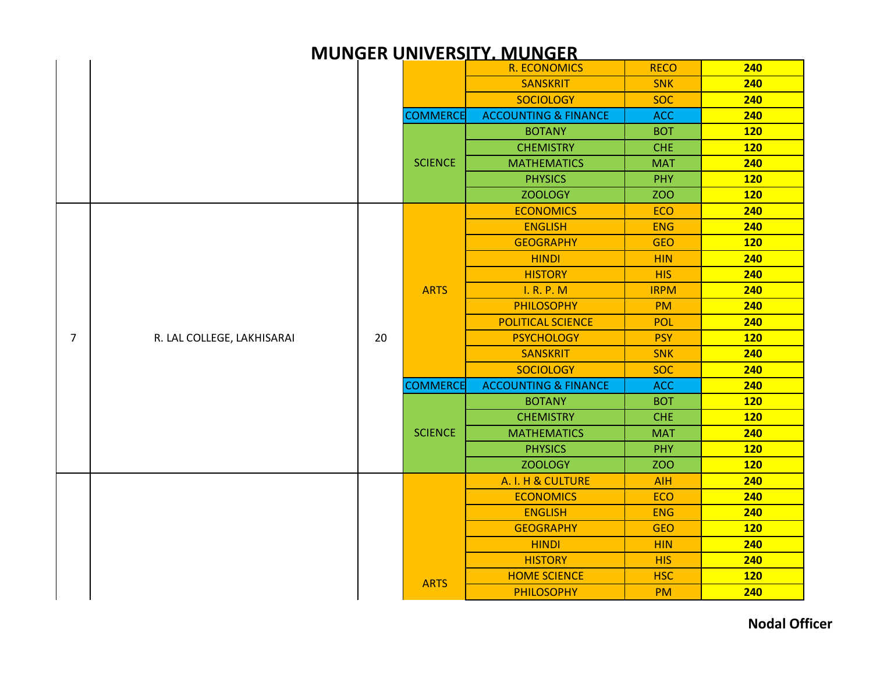### **MUNGER U<u>NIVERSITY, MUNGER</u>**

|                |                            |    |                 | <b>R. ECONOMICS</b>             | <b>RECO</b> | 240        |
|----------------|----------------------------|----|-----------------|---------------------------------|-------------|------------|
|                |                            |    |                 | <b>SANSKRIT</b>                 | <b>SNK</b>  | 240        |
|                |                            |    |                 | <b>SOCIOLOGY</b>                | <b>SOC</b>  | 240        |
|                |                            |    | <b>COMMERCE</b> | <b>ACCOUNTING &amp; FINANCE</b> | <b>ACC</b>  | 240        |
|                |                            |    |                 | <b>BOTANY</b>                   | <b>BOT</b>  | <b>120</b> |
|                |                            |    |                 | <b>CHEMISTRY</b>                | <b>CHE</b>  | <b>120</b> |
|                |                            |    | <b>SCIENCE</b>  | <b>MATHEMATICS</b>              | <b>MAT</b>  | 240        |
|                |                            |    |                 | <b>PHYSICS</b>                  | PHY         | <b>120</b> |
|                |                            |    |                 | <b>ZOOLOGY</b>                  | <b>ZOO</b>  | <b>120</b> |
|                |                            |    |                 | <b>ECONOMICS</b>                | <b>ECO</b>  | 240        |
|                |                            |    |                 | <b>ENGLISH</b>                  | <b>ENG</b>  | 240        |
|                |                            |    |                 | <b>GEOGRAPHY</b>                | <b>GEO</b>  | <b>120</b> |
|                |                            |    |                 | <b>HINDI</b>                    | <b>HIN</b>  | 240        |
|                |                            |    |                 | <b>HISTORY</b>                  | <b>HIS</b>  | 240        |
|                |                            |    | <b>ARTS</b>     | <b>I. R. P. M</b>               | <b>IRPM</b> | 240        |
|                | R. LAL COLLEGE, LAKHISARAI | 20 |                 | <b>PHILOSOPHY</b>               | <b>PM</b>   | 240        |
|                |                            |    |                 | <b>POLITICAL SCIENCE</b>        | <b>POL</b>  | 240        |
| $\overline{7}$ |                            |    |                 | <b>PSYCHOLOGY</b>               | <b>PSY</b>  | <b>120</b> |
|                |                            |    |                 | <b>SANSKRIT</b>                 | <b>SNK</b>  | 240        |
|                |                            |    |                 | <b>SOCIOLOGY</b>                | <b>SOC</b>  | 240        |
|                |                            |    | <b>COMMERCE</b> | <b>ACCOUNTING &amp; FINANCE</b> | <b>ACC</b>  | 240        |
|                |                            |    | <b>SCIENCE</b>  | <b>BOTANY</b>                   | <b>BOT</b>  | <b>120</b> |
|                |                            |    |                 | <b>CHEMISTRY</b>                | <b>CHE</b>  | <b>120</b> |
|                |                            |    |                 | <b>MATHEMATICS</b>              | <b>MAT</b>  | 240        |
|                |                            |    |                 | <b>PHYSICS</b>                  | PHY         | <b>120</b> |
|                |                            |    |                 | <b>ZOOLOGY</b>                  | <b>ZOO</b>  | <b>120</b> |
|                |                            |    |                 | A. I. H & CULTURE               | <b>AIH</b>  | 240        |
|                |                            |    |                 | <b>ECONOMICS</b>                | <b>ECO</b>  | 240        |
|                |                            |    |                 | <b>ENGLISH</b>                  | <b>ENG</b>  | 240        |
|                |                            |    |                 | <b>GEOGRAPHY</b>                | <b>GEO</b>  | <b>120</b> |
|                |                            |    |                 | <b>HINDI</b>                    | <b>HIN</b>  | 240        |
|                |                            |    |                 | <b>HISTORY</b>                  | <b>HIS</b>  | 240        |
|                |                            |    | <b>ARTS</b>     | <b>HOME SCIENCE</b>             | <b>HSC</b>  | <b>120</b> |
|                |                            |    |                 | <b>PHILOSOPHY</b>               | <b>PM</b>   | 240        |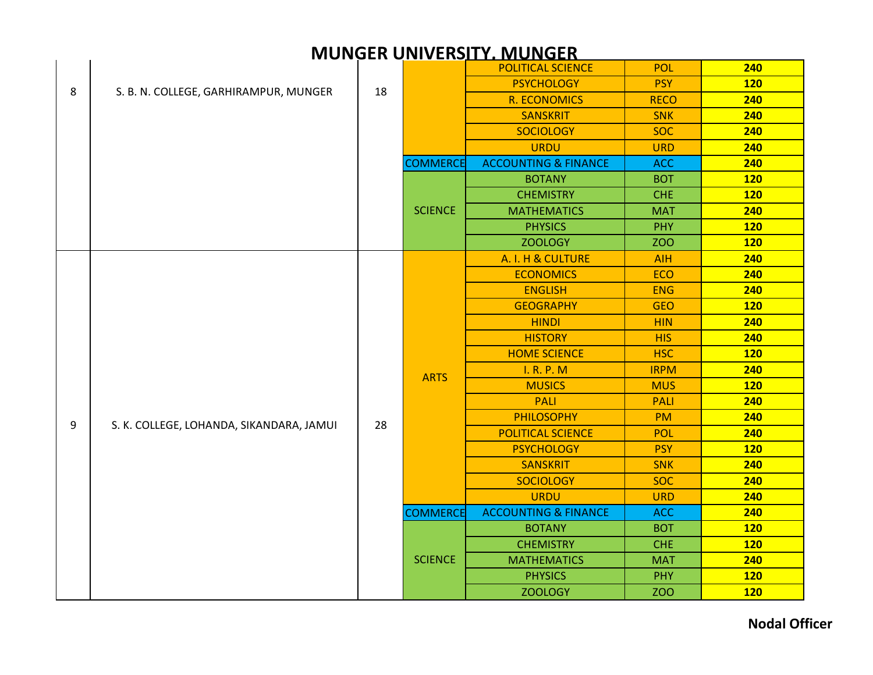|   |                                          |    |                 | <b>INDIVOLIT ONIVERSITI, INDIVOLIT</b> |             |            |
|---|------------------------------------------|----|-----------------|----------------------------------------|-------------|------------|
|   |                                          |    |                 | <b>POLITICAL SCIENCE</b>               | <b>POL</b>  | 240        |
| 8 | S. B. N. COLLEGE, GARHIRAMPUR, MUNGER    | 18 |                 | <b>PSYCHOLOGY</b>                      | <b>PSY</b>  | <b>120</b> |
|   |                                          |    |                 | R. ECONOMICS                           | <b>RECO</b> | 240        |
|   |                                          |    |                 | <b>SANSKRIT</b>                        | <b>SNK</b>  | 240        |
|   |                                          |    |                 | <b>SOCIOLOGY</b>                       | <b>SOC</b>  | 240        |
|   |                                          |    |                 | <b>URDU</b>                            | <b>URD</b>  | 240        |
|   |                                          |    | <b>COMMERCE</b> | <b>ACCOUNTING &amp; FINANCE</b>        | <b>ACC</b>  | 240        |
|   |                                          |    |                 | <b>BOTANY</b>                          | <b>BOT</b>  | <b>120</b> |
|   |                                          |    |                 | <b>CHEMISTRY</b>                       | <b>CHE</b>  | <b>120</b> |
|   |                                          |    | <b>SCIENCE</b>  | <b>MATHEMATICS</b>                     | <b>MAT</b>  | 240        |
|   |                                          |    |                 | <b>PHYSICS</b>                         | <b>PHY</b>  | <b>120</b> |
|   |                                          |    |                 | <b>ZOOLOGY</b>                         | <b>ZOO</b>  | <b>120</b> |
|   |                                          |    |                 | A. I. H & CULTURE                      | <b>AIH</b>  | 240        |
|   |                                          |    |                 | <b>ECONOMICS</b>                       | <b>ECO</b>  | 240        |
|   |                                          |    |                 | <b>ENGLISH</b>                         | <b>ENG</b>  | 240        |
|   | S. K. COLLEGE, LOHANDA, SIKANDARA, JAMUI |    |                 | <b>GEOGRAPHY</b>                       | <b>GEO</b>  | <b>120</b> |
|   |                                          |    |                 | <b>HINDI</b>                           | <b>HIN</b>  | 240        |
|   |                                          |    |                 | <b>HISTORY</b>                         | <b>HIS</b>  | 240        |
|   |                                          | 28 |                 | <b>HOME SCIENCE</b>                    | <b>HSC</b>  | <b>120</b> |
|   |                                          |    | <b>ARTS</b>     | I. R. P. M                             | <b>IRPM</b> | 240        |
|   |                                          |    |                 | <b>MUSICS</b>                          | <b>MUS</b>  | <b>120</b> |
|   |                                          |    |                 | <b>PALI</b>                            | <b>PALI</b> | 240        |
| 9 |                                          |    |                 | <b>PHILOSOPHY</b>                      | <b>PM</b>   | 240        |
|   |                                          |    |                 | <b>POLITICAL SCIENCE</b>               | <b>POL</b>  | 240        |
|   |                                          |    |                 | <b>PSYCHOLOGY</b>                      | <b>PSY</b>  | <b>120</b> |
|   |                                          |    |                 | <b>SANSKRIT</b>                        | <b>SNK</b>  | 240        |
|   |                                          |    |                 | <b>SOCIOLOGY</b>                       | <b>SOC</b>  | 240        |
|   |                                          |    |                 | <b>URDU</b>                            | <b>URD</b>  | 240        |
|   |                                          |    | <b>COMMERCE</b> | <b>ACCOUNTING &amp; FINANCE</b>        | <b>ACC</b>  | 240        |
|   |                                          |    |                 | <b>BOTANY</b>                          | <b>BOT</b>  | <b>120</b> |
|   |                                          |    |                 | <b>CHEMISTRY</b>                       | <b>CHE</b>  | <b>120</b> |
|   |                                          |    | <b>SCIENCE</b>  | <b>MATHEMATICS</b>                     | <b>MAT</b>  | 240        |
|   |                                          |    |                 | <b>PHYSICS</b>                         | PHY         | <b>120</b> |
|   |                                          |    |                 | <b>ZOOLOGY</b>                         | <b>ZOO</b>  | <b>120</b> |

# MUNGER UNIVERS<u>ITY. MUNGER</u>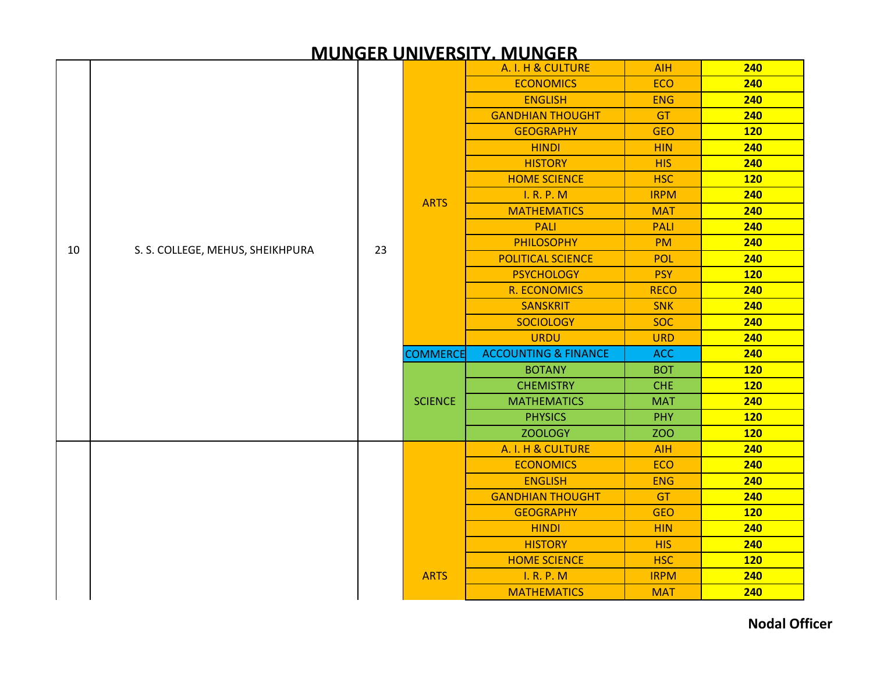|    |                                  |    |                 | <u>MONOLI ONIVERSITI, MONOLI</u> |             |            |
|----|----------------------------------|----|-----------------|----------------------------------|-------------|------------|
|    |                                  |    |                 | A. I. H & CULTURE                | <b>AIH</b>  | 240        |
|    |                                  |    |                 | <b>ECONOMICS</b>                 | ECO         | 240        |
|    |                                  |    |                 | <b>ENGLISH</b>                   | <b>ENG</b>  | 240        |
|    |                                  |    |                 | <b>GANDHIAN THOUGHT</b>          | <b>GT</b>   | 240        |
|    |                                  |    |                 | <b>GEOGRAPHY</b>                 | <b>GEO</b>  | <b>120</b> |
|    |                                  |    |                 | <b>HINDI</b>                     | <b>HIN</b>  | 240        |
|    |                                  |    |                 | <b>HISTORY</b>                   | <b>HIS</b>  | 240        |
|    |                                  |    |                 | <b>HOME SCIENCE</b>              | <b>HSC</b>  | <b>120</b> |
|    |                                  |    | <b>ARTS</b>     | I. R. P. M                       | <b>IRPM</b> | 240        |
|    |                                  |    |                 | <b>MATHEMATICS</b>               | <b>MAT</b>  | 240        |
|    |                                  |    |                 | <b>PALI</b>                      | <b>PALI</b> | 240        |
| 10 | S. S. COLLEGE, MEHUS, SHEIKHPURA | 23 |                 | <b>PHILOSOPHY</b>                | <b>PM</b>   | 240        |
|    |                                  |    |                 | <b>POLITICAL SCIENCE</b>         | <b>POL</b>  | 240        |
|    |                                  |    |                 | <b>PSYCHOLOGY</b>                | <b>PSY</b>  | <b>120</b> |
|    |                                  |    |                 | <b>R. ECONOMICS</b>              | <b>RECO</b> | 240        |
|    |                                  |    |                 | <b>SANSKRIT</b>                  | <b>SNK</b>  | 240        |
|    |                                  |    |                 | <b>SOCIOLOGY</b>                 | <b>SOC</b>  | 240        |
|    |                                  |    |                 | <b>URDU</b>                      | <b>URD</b>  | 240        |
|    |                                  |    | <b>COMMERCE</b> | <b>ACCOUNTING &amp; FINANCE</b>  | <b>ACC</b>  | 240        |
|    |                                  |    |                 | <b>BOTANY</b>                    | <b>BOT</b>  | <b>120</b> |
|    |                                  |    |                 | <b>CHEMISTRY</b>                 | <b>CHE</b>  | <b>120</b> |
|    |                                  |    | <b>SCIENCE</b>  | <b>MATHEMATICS</b>               | <b>MAT</b>  | 240        |
|    |                                  |    |                 | <b>PHYSICS</b>                   | PHY         | <b>120</b> |
|    |                                  |    |                 | <b>ZOOLOGY</b>                   | <b>ZOO</b>  | <b>120</b> |
|    |                                  |    |                 | A. I. H & CULTURE                | <b>AIH</b>  | 240        |
|    |                                  |    |                 | <b>ECONOMICS</b>                 | ECO         | 240        |
|    |                                  |    |                 | <b>ENGLISH</b>                   | <b>ENG</b>  | 240        |
|    |                                  |    |                 | <b>GANDHIAN THOUGHT</b>          | GT          | 240        |
|    |                                  |    |                 | <b>GEOGRAPHY</b>                 | <b>GEO</b>  | <b>120</b> |
|    |                                  |    |                 | <b>HINDI</b>                     | <b>HIN</b>  | 240        |
|    |                                  |    |                 | <b>HISTORY</b>                   | <b>HIS</b>  | 240        |
|    |                                  |    |                 | <b>HOME SCIENCE</b>              | <b>HSC</b>  | <b>120</b> |
|    |                                  |    | <b>ARTS</b>     | I. R. P. M                       | <b>IRPM</b> | 240        |
|    |                                  |    |                 | <b>MATHEMATICS</b>               | <b>MAT</b>  | 240        |